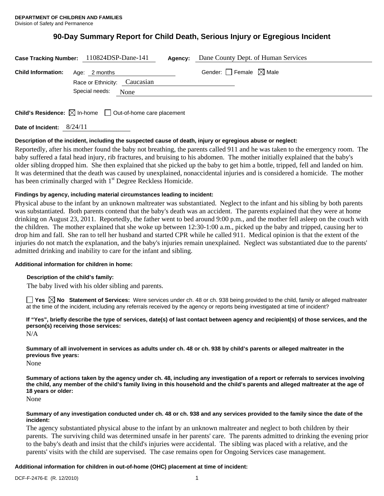# **90-Day Summary Report for Child Death, Serious Injury or Egregious Incident**

|                                         | Case Tracking Number: 110824DSP-Dane-141 | <b>Agency:</b> Dane County Dept. of Human Services |
|-----------------------------------------|------------------------------------------|----------------------------------------------------|
| <b>Child Information:</b> Age: 2 months | Race or Ethnicity: Caucasian             | Gender: $\Box$ Female $\boxtimes$ Male             |
|                                         | Special needs:<br>None                   |                                                    |
|                                         |                                          |                                                    |

**Child's Residence:**  $\boxtimes$  In-home  $\Box$  Out-of-home care placement

**Date of Incident:** 8/24/11

## **Description of the incident, including the suspected cause of death, injury or egregious abuse or neglect:**

Reportedly, after his mother found the baby not breathing, the parents called 911 and he was taken to the emergency room. The baby suffered a fatal head injury, rib fractures, and bruising to his abdomen. The mother initially explained that the baby's older sibling dropped him. She then explained that she picked up the baby to get him a bottle, tripped, fell and landed on him. It was determined that the death was caused by unexplained, nonaccidental injuries and is considered a homicide. The mother has been criminally charged with  $1<sup>st</sup>$  Degree Reckless Homicide.

## **Findings by agency, including material circumstances leading to incident:**

Physical abuse to the infant by an unknown maltreater was substantiated. Neglect to the infant and his sibling by both parents was substantiated. Both parents contend that the baby's death was an accident. The parents explained that they were at home drinking on August 23, 2011. Reportedly, the father went to bed around 9:00 p.m., and the mother fell asleep on the couch with the children. The mother explained that she woke up between 12:30-1:00 a.m., picked up the baby and tripped, causing her to drop him and fall. She ran to tell her husband and started CPR while he called 911. Medical opinion is that the extent of the injuries do not match the explanation, and the baby's injuries remain unexplained. Neglect was substantiated due to the parents' admitted drinking and inability to care for the infant and sibling.

### **Additional information for children in home:**

### **Description of the child's family:**

The baby lived with his older sibling and parents.

■ Yes **No** Statement of Services: Were services under ch. 48 or ch. 938 being provided to the child, family or alleged maltreater at the time of the incident, including any referrals received by the agency or reports being investigated at time of incident?

**If "Yes", briefly describe the type of services, date(s) of last contact between agency and recipient(s) of those services, and the person(s) receiving those services:** 

N/A

**Summary of all involvement in services as adults under ch. 48 or ch. 938 by child's parents or alleged maltreater in the previous five years:** 

None

**Summary of actions taken by the agency under ch. 48, including any investigation of a report or referrals to services involving the child, any member of the child's family living in this household and the child's parents and alleged maltreater at the age of 18 years or older:** 

None

## **Summary of any investigation conducted under ch. 48 or ch. 938 and any services provided to the family since the date of the incident:**

The agency substantiated physical abuse to the infant by an unknown maltreater and neglect to both children by their parents. The surviving child was determined unsafe in her parents' care. The parents admitted to drinking the evening prior to the baby's death and insist that the child's injuries were accidental. The sibling was placed with a relative, and the parents' visits with the child are supervised. The case remains open for Ongoing Services case management.

## **Additional information for children in out-of-home (OHC) placement at time of incident:**